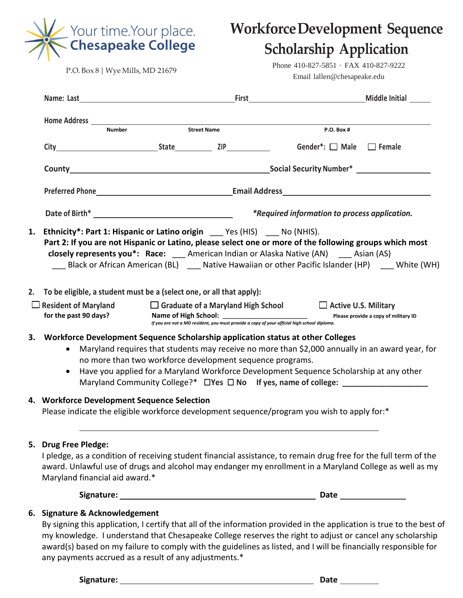

**WorkforceDevelopment Sequence**

# **Scholarship Application**

Phone 410-827-5851 · FAX 410-827-9222 Email lallen@chesapeake.edu

| <b>Number</b>                                                                                                                                     | Street Name                                                                                                                                                                                                                                                                                                                                  | <b>P.O. Box #</b>                                    |                                      |  |
|---------------------------------------------------------------------------------------------------------------------------------------------------|----------------------------------------------------------------------------------------------------------------------------------------------------------------------------------------------------------------------------------------------------------------------------------------------------------------------------------------------|------------------------------------------------------|--------------------------------------|--|
|                                                                                                                                                   | City Conder*: Male Female                                                                                                                                                                                                                                                                                                                    |                                                      |                                      |  |
|                                                                                                                                                   |                                                                                                                                                                                                                                                                                                                                              |                                                      |                                      |  |
|                                                                                                                                                   |                                                                                                                                                                                                                                                                                                                                              |                                                      |                                      |  |
|                                                                                                                                                   |                                                                                                                                                                                                                                                                                                                                              | <i>*Required information to process application.</i> |                                      |  |
| 1. Ethnicity*: Part 1: Hispanic or Latino origin ____ Yes (HIS) ____ No (NHIS).                                                                   | Part 2: If you are not Hispanic or Latino, please select one or more of the following groups which most<br>closely represents you*: Race: ___ American Indian or Alaska Native (AN) ___ Asian (AS)<br>Black or African American (BL) Mative Hawaiian or other Pacific Islander (HP) White (WH)                                               |                                                      |                                      |  |
| 2. To be eligible, a student must be a (select one, or all that apply):                                                                           |                                                                                                                                                                                                                                                                                                                                              |                                                      |                                      |  |
| $\Box$ Resident of Maryland $\Box$ Graduate of a Maryland High School $\Box$ Active U.S. Military<br>for the past 90 days?                        | If you are not a MD resident, you must provide a copy of your official high school diploma.                                                                                                                                                                                                                                                  |                                                      | Please provide a copy of military ID |  |
| 3. Workforce Development Sequence Scholarship application status at other Colleges<br>$\bullet$                                                   | Maryland requires that students may receive no more than \$2,000 annually in an award year, for<br>no more than two workforce development sequence programs.<br>Have you applied for a Maryland Workforce Development Sequence Scholarship at any other<br>Maryland Community College?* □ Yes □ No If yes, name of college: ________________ |                                                      |                                      |  |
| 4. Workforce Development Sequence Selection                                                                                                       | Please indicate the eligible workforce development sequence/program you wish to apply for:*                                                                                                                                                                                                                                                  |                                                      |                                      |  |
| 5. Drug Free Pledge:<br>Maryland financial aid award.*                                                                                            | I pledge, as a condition of receiving student financial assistance, to remain drug free for the full term of the<br>award. Unlawful use of drugs and alcohol may endanger my enrollment in a Maryland College as well as my                                                                                                                  |                                                      |                                      |  |
|                                                                                                                                                   |                                                                                                                                                                                                                                                                                                                                              |                                                      |                                      |  |
| 6. Signature & Acknowledgement<br>award(s) based on my failure to comply with the guidelines as listed, and I will be financially responsible for | By signing this application, I certify that all of the information provided in the application is true to the best of<br>my knowledge. I understand that Chesapeake College reserves the right to adjust or cancel any scholarship                                                                                                           |                                                      |                                      |  |

any payments accrued as a result of any adjustments.\*

**Signature: Date**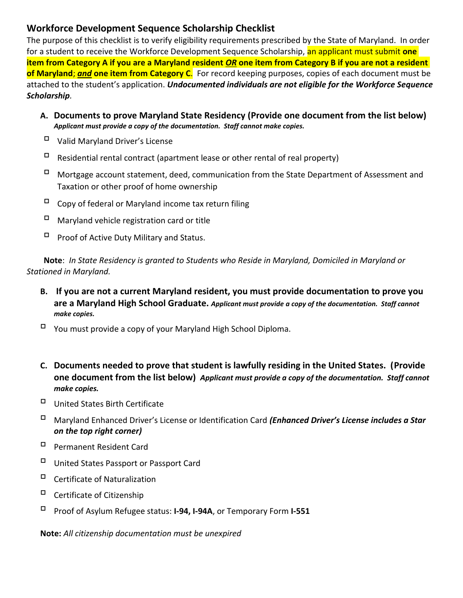### **Workforce Development Sequence Scholarship Checklist**

The purpose of this checklist is to verify eligibility requirements prescribed by the State of Maryland. In order for a student to receive the Workforce Development Sequence Scholarship, an applicant must submit **one item from Category A if you are a Maryland resident** *OR* **one item from Category B if you are not a resident of Maryland**; *and* **one item from Category C**. For record keeping purposes, copies of each document must be attached to the student's application. *Undocumented individuals are not eligible for the Workforce Sequence Scholarship.*

- **A. Documents to prove Maryland State Residency (Provide one document from the list below)** *Applicant must provide a copy of the documentation. Staff cannot make copies.*
- Valid Maryland Driver's License
- $\Box$  Residential rental contract (apartment lease or other rental of real property)
- $\Box$  Mortgage account statement, deed, communication from the State Department of Assessment and Taxation or other proof of home ownership
- $\Box$  Copy of federal or Maryland income tax return filing
- $\Box$  Maryland vehicle registration card or title
- $\Box$  Proof of Active Duty Military and Status.

**Note**: *In State Residency is granted to Students who Reside in Maryland, Domiciled in Maryland or Stationed in Maryland.* 

- **B. If you are not a current Maryland resident, you must provide documentation to prove you are a Maryland High School Graduate.** *Applicant must provide a copy of the documentation. Staff cannot make copies.*
- You must provide a copy of your Maryland High School Diploma.
- **C. Documents needed to prove that student is lawfully residing in the United States. (Provide one document from the list below)** *Applicant must provide a copy of the documentation. Staff cannot make copies.*
- United States Birth Certificate
- Maryland Enhanced Driver's License or Identification Card *(Enhanced Driver's License includes a Star on the top right corner)*
- Permanent Resident Card
- United States Passport or Passport Card
- Certificate of Naturalization
- $\Box$  Certificate of Citizenship
- Proof of Asylum Refugee status: **I-94, I-94A**, or Temporary Form **I-551**

**Note:** *All citizenship documentation must be unexpired*